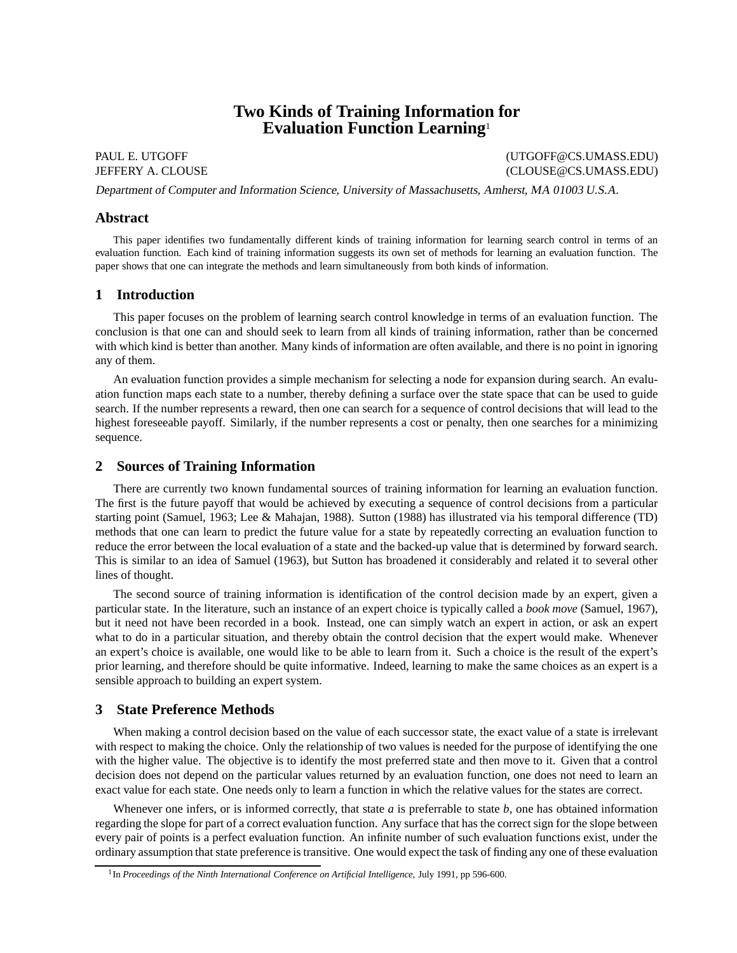# **Two Kinds of Training Information for Evaluation Function Learning**<sup>1</sup>

PAUL E. UTGOFF (UTGOFF CS.UMASS.EDU) JEFFERY A. CLOUSE (CLOUSE@CS.UMASS.EDU)

Department of Computer and Information Science, University of Massachusetts, Amherst, MA 01003 U.S.A.

# **Abstract**

This paper identifies two fundamentally different kinds of training information for learning search control in terms of an evaluation function. Each kind of training information suggests its own set of methods for learning an evaluation function. The paper shows that one can integrate the methods and learn simultaneously from both kinds of information.

# **1 Introduction**

This paper focuses on the problem of learning search control knowledge in terms of an evaluation function. The conclusion is that one can and should seek to learn from all kinds of training information, rather than be concerned with which kind is better than another. Many kinds of information are often available, and there is no point in ignoring any of them.

An evaluation function provides a simple mechanism for selecting a node for expansion during search. An evaluation function maps each state to a number, thereby defining a surface over the state space that can be used to guide search. If the number represents a reward, then one can search for a sequence of control decisions that will lead to the highest foreseeable payoff. Similarly, if the number represents a cost or penalty, then one searches for a minimizing sequence.

# **2 Sources of Training Information**

There are currently two known fundamental sources of training information for learning an evaluation function. The first is the future payoff that would be achieved by executing a sequence of control decisions from a particular starting point (Samuel, 1963; Lee & Mahajan, 1988). Sutton (1988) has illustrated via his temporal difference (TD) methods that one can learn to predict the future value for a state by repeatedly correcting an evaluation function to reduce the error between the local evaluation of a state and the backed-up value that is determined by forward search. This is similar to an idea of Samuel (1963), but Sutton has broadened it considerably and related it to several other lines of thought.

The second source of training information is identification of the control decision made by an expert, given a particular state. In the literature, such an instance of an expert choice is typically called a *book move* (Samuel, 1967), but it need not have been recorded in a book. Instead, one can simply watch an expert in action, or ask an expert what to do in a particular situation, and thereby obtain the control decision that the expert would make. Whenever an expert's choice is available, one would like to be able to learn from it. Such a choice is the result of the expert's prior learning, and therefore should be quite informative. Indeed, learning to make the same choices as an expert is a sensible approach to building an expert system.

# **3 State Preference Methods**

When making a control decision based on the value of each successor state, the exact value of a state is irrelevant with respect to making the choice. Only the relationship of two values is needed for the purpose of identifying the one with the higher value. The objective is to identify the most preferred state and then move to it. Given that a control decision does not depend on the particular values returned by an evaluation function, one does not need to learn an exact value for each state. One needs only to learn a function in which the relative values for the states are correct.

Whenever one infers, or is informed correctly, that state *a* is preferrable to state *b*, one has obtained information regarding the slope for part of a correct evaluation function. Any surface that has the correct sign for the slope between every pair of points is a perfect evaluation function. An infinite number of such evaluation functions exist, under the ordinary assumption that state preference is transitive. One would expect the task of finding any one of these evaluation

<sup>1</sup> In *Proceedings of the Ninth International Conference on Artificial Intelligence*, July 1991, pp 596-600.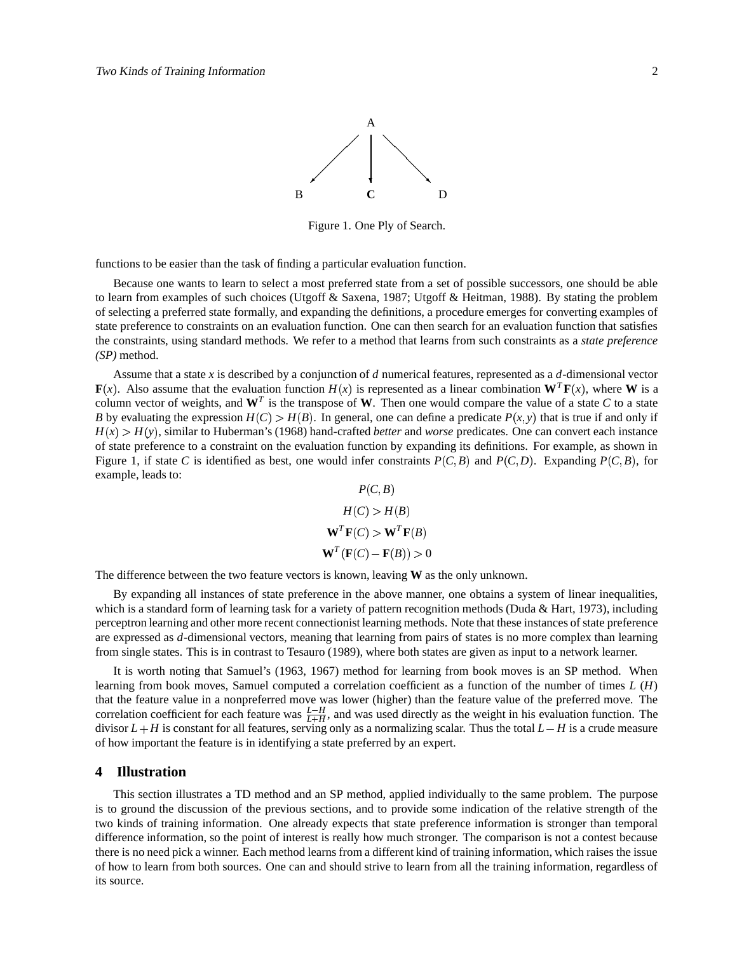

Figure 1. One Ply of Search.

functions to be easier than the task of finding a particular evaluation function.

Because one wants to learn to select a most preferred state from a set of possible successors, one should be able to learn from examples of such choices (Utgoff & Saxena, 1987; Utgoff & Heitman, 1988). By stating the problem of selecting a preferred state formally, and expanding the definitions, a procedure emerges for converting examples of state preference to constraints on an evaluation function. One can then search for an evaluation function that satisfies the constraints, using standard methods. We refer to a method that learns from such constraints as a *state preference (SP)* method.

Assume that a state *x* is described by a conjunction of *d* numerical features, represented as a *d*-dimensional vector **F**(x). Also assume that the evaluation function  $H(x)$  is represented as a linear combination  $\mathbf{W}^T \mathbf{F}(x)$ , where **W** is a column vector of weights, and  $W^T$  is the transpose of W. Then one would compare the value of a state  $C$  to a state *B* by evaluating the expression  $H(C) > H(B)$ . In general, one can define a predicate  $P(x, y)$  that is true if and only if  $H(x) > H(y)$ , similar to Huberman's (1968) hand-crafted *better* and *worse* predicates. One can convert each instance of state preference to a constraint on the evaluation function by expanding its definitions. For example, as shown in Figure 1, if state *C* is identified as best, one would infer constraints  $P(C, B)$  and  $P(C, D)$ . Expanding  $P(C, B)$ , for example, leads to:  $P$   $($ *C*  $P$   $)$ 

$$
P(C,B)
$$
  
\n
$$
H(C) > H(B)
$$
  
\n
$$
\mathbf{W}^{T}\mathbf{F}(C) > \mathbf{W}^{T}\mathbf{F}(B)
$$
  
\n
$$
\mathbf{W}^{T}(\mathbf{F}(C) - \mathbf{F}(B)) > 0
$$

The difference between the two feature vectors is known, leaving **W** as the only unknown.

By expanding all instances of state preference in the above manner, one obtains a system of linear inequalities, which is a standard form of learning task for a variety of pattern recognition methods (Duda & Hart, 1973), including perceptron learning and other more recent connectionist learning methods. Note that these instances of state preference are expressed as *d*-dimensional vectors, meaning that learning from pairs of states is no more complex than learning from single states. This is in contrast to Tesauro (1989), where both states are given as input to a network learner.

It is worth noting that Samuel's (1963, 1967) method for learning from book moves is an SP method. When learning from book moves, Samuel computed a correlation coefficient as a function of the number of times *L* (*H*) that the feature value in a nonpreferred move was lower (higher) than the feature value of the preferred move. The correlation coefficient for each feature was  $\frac{L-H}{L+H}$ , and was used directly as the weight in his evaluation function. The divisor  $L + H$  is constant for all features, serving only as a normalizing scalar. Thus the total  $L - H$  is a crude measure of how important the feature is in identifying a state preferred by an expert.

## **4 Illustration**

This section illustrates a TD method and an SP method, applied individually to the same problem. The purpose is to ground the discussion of the previous sections, and to provide some indication of the relative strength of the two kinds of training information. One already expects that state preference information is stronger than temporal difference information, so the point of interest is really how much stronger. The comparison is not a contest because there is no need pick a winner. Each method learns from a different kind of training information, which raises the issue of how to learn from both sources. One can and should strive to learn from all the training information, regardless of its source.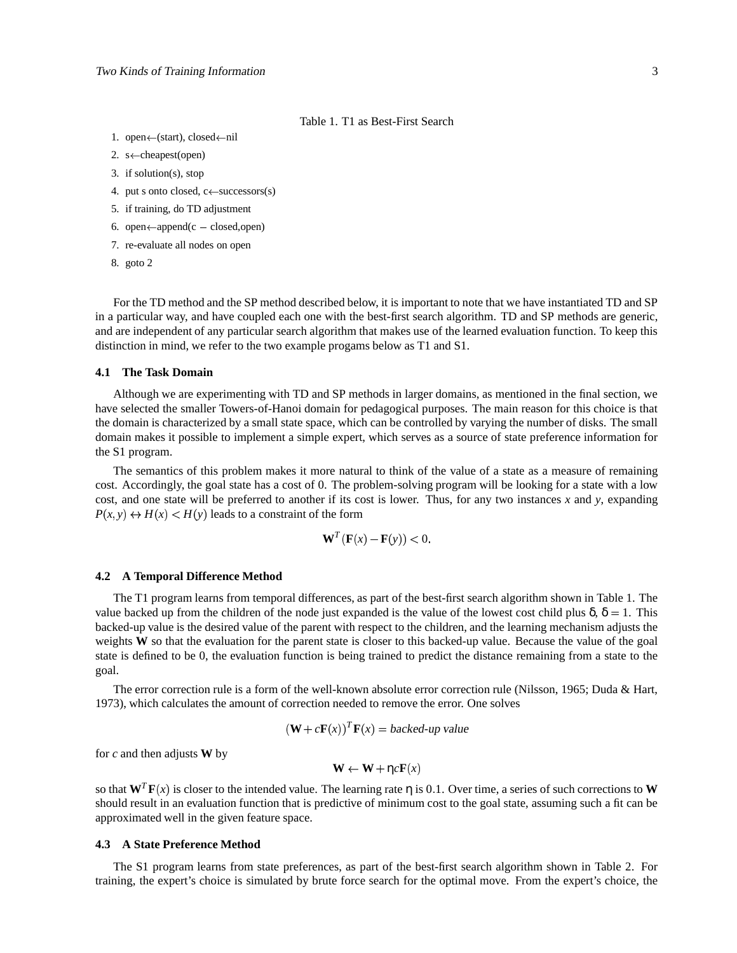## Table 1. T1 as Best-First Search

- 1. open $\leftarrow$ (start), closed $\leftarrow$ nil
- 2. s $\leftarrow$ cheapest(open)
- 3. if solution(s), stop
- 4. put s onto closed,  $c \leftarrow$  successors(s)
- 5. if training, do TD adjustment
- 6. open $\leftarrow$ append(c closed,open)
- 7. re-evaluate all nodes on open
- 8. goto 2

For the TD method and the SP method described below, it is important to note that we have instantiated TD and SP in a particular way, and have coupled each one with the best-first search algorithm. TD and SP methods are generic, and are independent of any particular search algorithm that makes use of the learned evaluation function. To keep this distinction in mind, we refer to the two example progams below as T1 and S1.

## **4.1 The Task Domain**

Although we are experimenting with TD and SP methods in larger domains, as mentioned in the final section, we have selected the smaller Towers-of-Hanoi domain for pedagogical purposes. The main reason for this choice is that the domain is characterized by a small state space, which can be controlled by varying the number of disks. The small domain makes it possible to implement a simple expert, which serves as a source of state preference information for the S1 program.

The semantics of this problem makes it more natural to think of the value of a state as a measure of remaining cost. Accordingly, the goal state has a cost of 0. The problem-solving program will be looking for a state with a low cost, and one state will be preferred to another if its cost is lower. Thus, for any two instances *x* and *y*, expanding  $P(x, y) \leftrightarrow H(x) < H(y)$  leads to a constraint of the form

$$
\mathbf{W}^T(\mathbf{F}(x) - \mathbf{F}(y)) < 0.
$$

## **4.2 A Temporal Difference Method**

The T1 program learns from temporal differences, as part of the best-first search algorithm shown in Table 1. The value backed up from the children of the node just expanded is the value of the lowest cost child plus  $\delta$ ,  $\delta = 1$ . This backed-up value is the desired value of the parent with respect to the children, and the learning mechanism adjusts the weights **W** so that the evaluation for the parent state is closer to this backed-up value. Because the value of the goal state is defined to be 0, the evaluation function is being trained to predict the distance remaining from a state to the goal.

The error correction rule is a form of the well-known absolute error correction rule (Nilsson, 1965; Duda & Hart, 1973), which calculates the amount of correction needed to remove the error. One solves

$$
(\mathbf{W} + c\mathbf{F}(x))^T \mathbf{F}(x) = \text{background value}
$$

for *c* and then adjusts **W** by

$$
\mathbf{W} \leftarrow \mathbf{W} + \eta c \mathbf{F}(x)
$$

so that  $W^T F(x)$  is closer to the intended value. The learning rate  $\eta$  is 0.1. Over time, a series of such corrections to **W** should result in an evaluation function that is predictive of minimum cost to the goal state, assuming such a fit can be approximated well in the given feature space.

#### **4.3 A State Preference Method**

The S1 program learns from state preferences, as part of the best-first search algorithm shown in Table 2. For training, the expert's choice is simulated by brute force search for the optimal move. From the expert's choice, the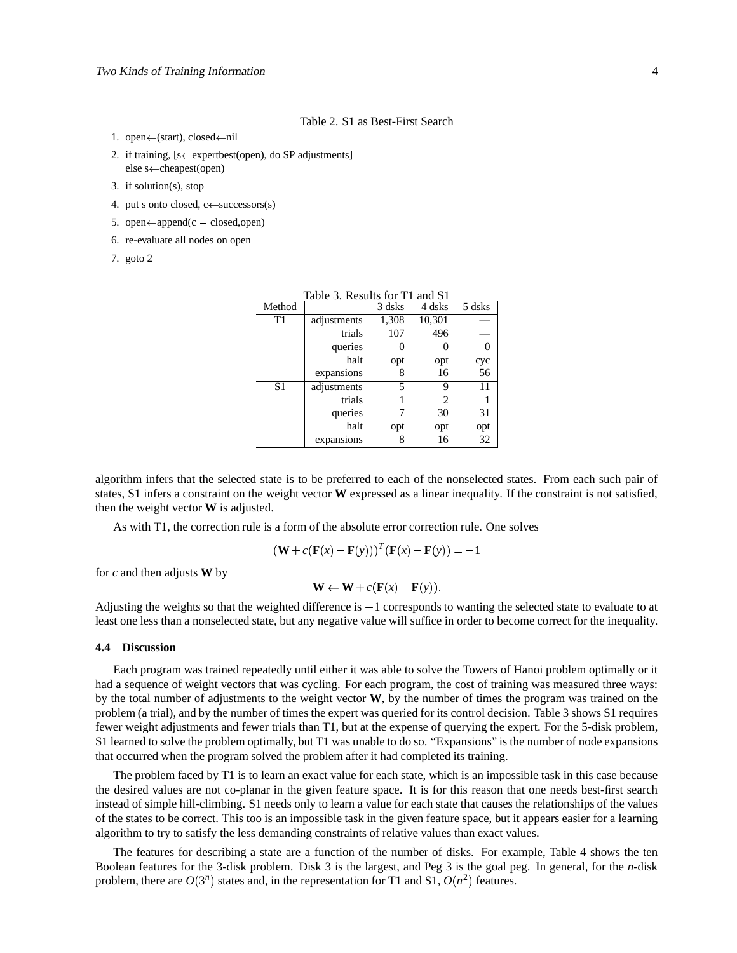### Table 2. S1 as Best-First Search

- 1. open←(start), closed←nil
- 2. if training,  $[s \leftarrow$  expertbest(open), do SP adjustments] else s←cheapest(open)
- 3. if solution(s), stop
- 4. put s onto closed,  $c \leftarrow$  successors(s)
- 5. open $\leftarrow$ append(c closed,open)
- 6. re-evaluate all nodes on open
- 7. goto 2

| Table 3. Results for T1 and S1 |             |        |                |        |  |  |
|--------------------------------|-------------|--------|----------------|--------|--|--|
| Method                         |             | 3 dsks | 4 dsks         | 5 dsks |  |  |
| T1                             | adjustments | 1,308  | 10,301         |        |  |  |
|                                | trials      | 107    | 496            |        |  |  |
|                                | queries     |        |                |        |  |  |
|                                | halt        | opt    | opt            | cyc    |  |  |
|                                | expansions  | 8      | 16             | 56     |  |  |
| S <sub>1</sub>                 | adjustments | 5      | 9              | 11     |  |  |
|                                | trials      |        | $\mathfrak{D}$ |        |  |  |
|                                | queries     |        | 30             | 31     |  |  |
|                                | halt        | opt    | opt            | opt    |  |  |
|                                | expansions  | 8      | 16             | 32     |  |  |

algorithm infers that the selected state is to be preferred to each of the nonselected states. From each such pair of states, S1 infers a constraint on the weight vector **W** expressed as a linear inequality. If the constraint is not satisfied, then the weight vector **W** is adjusted.

As with T1, the correction rule is a form of the absolute error correction rule. One solves

$$
(\mathbf{W} + c(\mathbf{F}(x) - \mathbf{F}(y)))^{T} (\mathbf{F}(x) - \mathbf{F}(y)) = -1
$$

for *c* and then adjusts **W** by

$$
\mathbf{W} \leftarrow \mathbf{W} + c(\mathbf{F}(x) - \mathbf{F}(y)).
$$

Adjusting the weights so that the weighted difference is  $-1$  corresponds to wanting the selected state to evaluate to at least one less than a nonselected state, but any negative value will suffice in order to become correct for the inequality.

## **4.4 Discussion**

Each program was trained repeatedly until either it was able to solve the Towers of Hanoi problem optimally or it had a sequence of weight vectors that was cycling. For each program, the cost of training was measured three ways: by the total number of adjustments to the weight vector **W**, by the number of times the program was trained on the problem (a trial), and by the number of times the expert was queried for its control decision. Table 3 shows S1 requires fewer weight adjustments and fewer trials than T1, but at the expense of querying the expert. For the 5-disk problem, S1 learned to solve the problem optimally, but T1 was unable to do so. "Expansions" is the number of node expansions that occurred when the program solved the problem after it had completed its training.

The problem faced by T1 is to learn an exact value for each state, which is an impossible task in this case because the desired values are not co-planar in the given feature space. It is for this reason that one needs best-first search instead of simple hill-climbing. S1 needs only to learn a value for each state that causes the relationships of the values of the states to be correct. This too is an impossible task in the given feature space, but it appears easier for a learning algorithm to try to satisfy the less demanding constraints of relative values than exact values.

The features for describing a state are a function of the number of disks. For example, Table 4 shows the ten Boolean features for the 3-disk problem. Disk 3 is the largest, and Peg 3 is the goal peg. In general, for the *n*-disk problem, there are  $O(3^n)$  states and, in the representation for T1 and S1,  $O(n^2)$  features.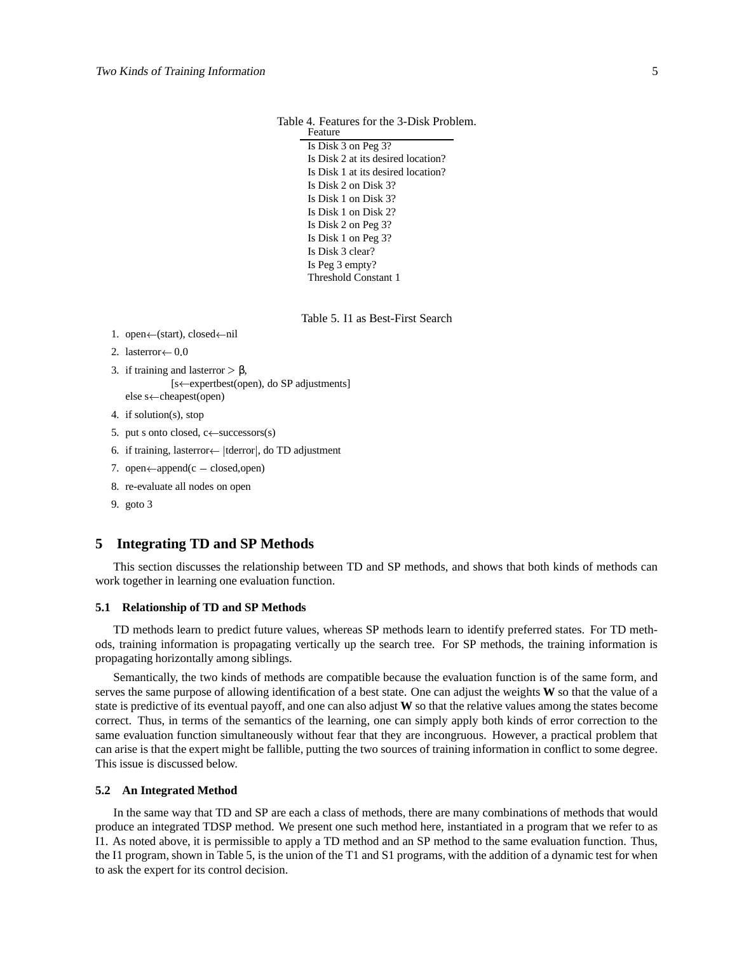Table 4. Features for the 3-Disk Problem. Feature

> Is Disk 3 on Peg 3? Is Disk 2 at its desired location? Is Disk 1 at its desired location? Is Disk 2 on Disk 3? Is Disk 1 on Disk 3? Is Disk 1 on Disk 2? Is Disk 2 on Peg 3? Is Disk 1 on Peg 3? Is Disk 3 clear? Is Peg 3 empty? Threshold Constant 1

> Table 5. I1 as Best-First Search

- 1. open $\leftarrow$ (start), closed $\leftarrow$ nil
- 2. lasterror $\leftarrow 0.0$
- 3. if training and lasterror β, [s $\leftarrow$ expertbest(open), do SP adjustments] else s<sup>«</sup>-cheapest(open)
- 4. if solution(s), stop
- 5. put s onto closed,  $c \leftarrow$  successors(s)
- 6. if training, lasterror $\leftarrow$  |tderror|, do TD adjustment
- 7. open $\leftarrow$ append(c closed,open)
- 8. re-evaluate all nodes on open
- 9. goto 3

# **5 Integrating TD and SP Methods**

This section discusses the relationship between TD and SP methods, and shows that both kinds of methods can work together in learning one evaluation function.

## **5.1 Relationship of TD and SP Methods**

TD methods learn to predict future values, whereas SP methods learn to identify preferred states. For TD methods, training information is propagating vertically up the search tree. For SP methods, the training information is propagating horizontally among siblings.

Semantically, the two kinds of methods are compatible because the evaluation function is of the same form, and serves the same purpose of allowing identification of a best state. One can adjust the weights **W** so that the value of a state is predictive of its eventual payoff, and one can also adjust **W** so that the relative values among the states become correct. Thus, in terms of the semantics of the learning, one can simply apply both kinds of error correction to the same evaluation function simultaneously without fear that they are incongruous. However, a practical problem that can arise is that the expert might be fallible, putting the two sources of training information in conflict to some degree. This issue is discussed below.

### **5.2 An Integrated Method**

In the same way that TD and SP are each a class of methods, there are many combinations of methods that would produce an integrated TDSP method. We present one such method here, instantiated in a program that we refer to as I1. As noted above, it is permissible to apply a TD method and an SP method to the same evaluation function. Thus, the I1 program, shown in Table 5, is the union of the T1 and S1 programs, with the addition of a dynamic test for when to ask the expert for its control decision.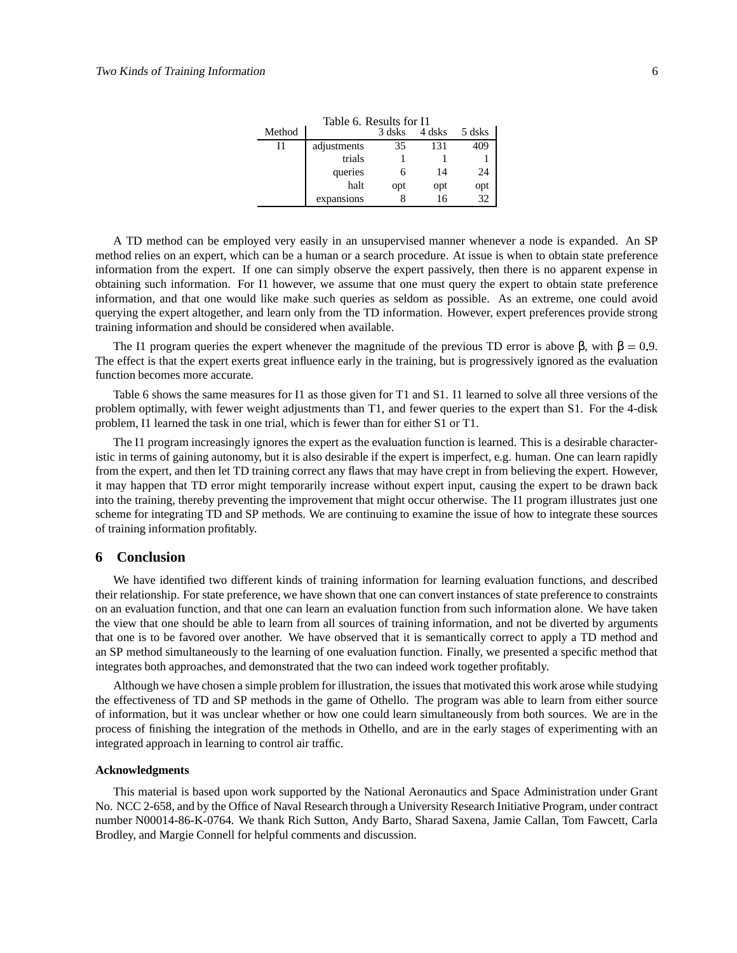| Table 6. Results for I1 |             |        |        |        |  |  |
|-------------------------|-------------|--------|--------|--------|--|--|
| Method                  |             | 3 dsks | 4 dsks | 5 dsks |  |  |
| 11                      | adjustments | 35     | 131    | 409    |  |  |
|                         | trials      |        |        |        |  |  |
|                         | queries     | 6      | 14     | 24     |  |  |
|                         | halt        | opt    | opt    | opt    |  |  |
|                         | expansions  |        | 16     | 32     |  |  |

A TD method can be employed very easily in an unsupervised manner whenever a node is expanded. An SP method relies on an expert, which can be a human or a search procedure. At issue is when to obtain state preference information from the expert. If one can simply observe the expert passively, then there is no apparent expense in obtaining such information. For I1 however, we assume that one must query the expert to obtain state preference information, and that one would like make such queries as seldom as possible. As an extreme, one could avoid querying the expert altogether, and learn only from the TD information. However, expert preferences provide strong training information and should be considered when available.

The I1 program queries the expert whenever the magnitude of the previous TD error is above β, with  $\beta = 0.9$ . The effect is that the expert exerts great influence early in the training, but is progressively ignored as the evaluation function becomes more accurate.

Table 6 shows the same measures for I1 as those given for T1 and S1. I1 learned to solve all three versions of the problem optimally, with fewer weight adjustments than T1, and fewer queries to the expert than S1. For the 4-disk problem, I1 learned the task in one trial, which is fewer than for either S1 or T1.

The I1 program increasingly ignores the expert as the evaluation function is learned. This is a desirable characteristic in terms of gaining autonomy, but it is also desirable if the expert is imperfect, e.g. human. One can learn rapidly from the expert, and then let TD training correct any flaws that may have crept in from believing the expert. However, it may happen that TD error might temporarily increase without expert input, causing the expert to be drawn back into the training, thereby preventing the improvement that might occur otherwise. The I1 program illustrates just one scheme for integrating TD and SP methods. We are continuing to examine the issue of how to integrate these sources of training information profitably.

# **6 Conclusion**

We have identified two different kinds of training information for learning evaluation functions, and described their relationship. For state preference, we have shown that one can convert instances of state preference to constraints on an evaluation function, and that one can learn an evaluation function from such information alone. We have taken the view that one should be able to learn from all sources of training information, and not be diverted by arguments that one is to be favored over another. We have observed that it is semantically correct to apply a TD method and an SP method simultaneously to the learning of one evaluation function. Finally, we presented a specific method that integrates both approaches, and demonstrated that the two can indeed work together profitably.

Although we have chosen a simple problem for illustration, the issues that motivated this work arose while studying the effectiveness of TD and SP methods in the game of Othello. The program was able to learn from either source of information, but it was unclear whether or how one could learn simultaneously from both sources. We are in the process of finishing the integration of the methods in Othello, and are in the early stages of experimenting with an integrated approach in learning to control air traffic.

## **Acknowledgments**

This material is based upon work supported by the National Aeronautics and Space Administration under Grant No. NCC 2-658, and by the Office of Naval Research through a University Research Initiative Program, under contract number N00014-86-K-0764. We thank Rich Sutton, Andy Barto, Sharad Saxena, Jamie Callan, Tom Fawcett, Carla Brodley, and Margie Connell for helpful comments and discussion.